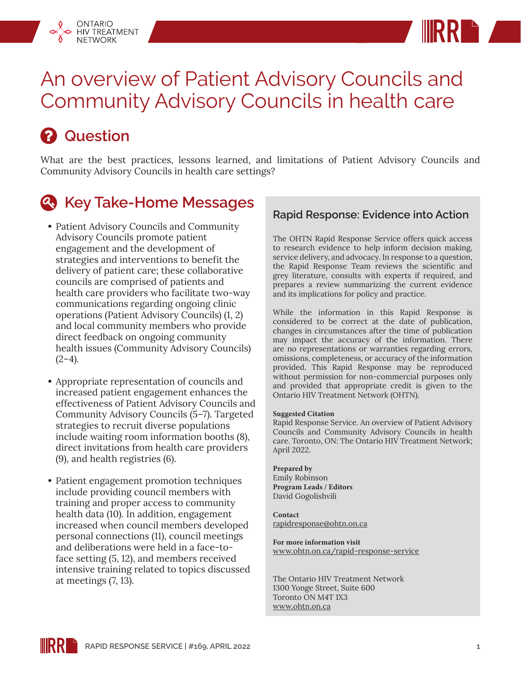



# An overview of Patient Advisory Councils and Community Advisory Councils in health care

# *A* Question

What are the best practices, lessons learned, and limitations of Patient Advisory Councils and Community Advisory Councils in health care settings?

## *<b>A.* Key Take-Home Messages

- **•** Patient Advisory Councils and Community Advisory Councils promote patient engagement and the development of strategies and interventions to benefit the delivery of patient care; these collaborative councils are comprised of patients and health care providers who facilitate two-way communications regarding ongoing clinic operations (Patient Advisory Councils) (1, 2) and local community members who provide direct feedback on ongoing community health issues (Community Advisory Councils)  $(2-4)$ .
- **•** Appropriate representation of councils and increased patient engagement enhances the effectiveness of Patient Advisory Councils and Community Advisory Councils (5–7). Targeted strategies to recruit diverse populations include waiting room information booths (8), direct invitations from health care providers (9), and health registries (6).
- **•** Patient engagement promotion techniques include providing council members with training and proper access to community health data (10). In addition, engagement increased when council members developed personal connections (11), council meetings and deliberations were held in a face-toface setting (5, 12), and members received intensive training related to topics discussed at meetings (7, 13).

#### **Rapid Response: Evidence into Action**

The OHTN Rapid Response Service offers quick access to research evidence to help inform decision making, service delivery, and advocacy. In response to a question, the Rapid Response Team reviews the scientific and grey literature, consults with experts if required, and prepares a review summarizing the current evidence and its implications for policy and practice.

While the information in this Rapid Response is considered to be correct at the date of publication, changes in circumstances after the time of publication may impact the accuracy of the information. There are no representations or warranties regarding errors, omissions, completeness, or accuracy of the information provided. This Rapid Response may be reproduced without permission for non-commercial purposes only and provided that appropriate credit is given to the Ontario HIV Treatment Network (OHTN).

#### **Suggested Citation**

Rapid Response Service. An overview of Patient Advisory Councils and Community Advisory Councils in health care. Toronto, ON: The Ontario HIV Treatment Network; April 2022.

**Prepared by** Emily Robinson **Program Leads / Editors** David Gogolishvili

**Contact** rapidresponse@ohtn.on.ca

**For more information visit** [www.ohtn.on.ca/rapid-response-service](http://www.ohtn.on.ca/rapid-response-service)

The Ontario HIV Treatment Network 1300 Yonge Street, Suite 600 Toronto ON M4T 1X3 www.ohtn.on.ca

**RR RAPID RESPONSE SERVICE | #169, APRIL 2022 1**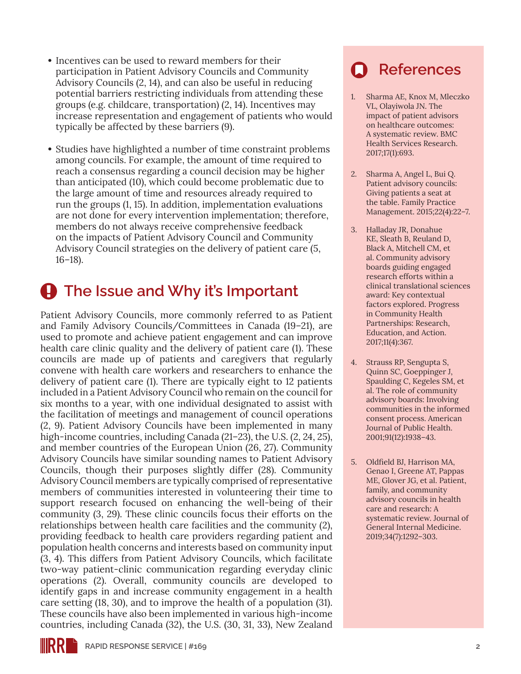- **•** Incentives can be used to reward members for their participation in Patient Advisory Councils and Community Advisory Councils (2, 14), and can also be useful in reducing potential barriers restricting individuals from attending these groups (e.g. childcare, transportation) (2, 14). Incentives may increase representation and engagement of patients who would typically be affected by these barriers (9).
- **•** Studies have highlighted a number of time constraint problems among councils. For example, the amount of time required to reach a consensus regarding a council decision may be higher than anticipated (10), which could become problematic due to the large amount of time and resources already required to run the groups (1, 15). In addition, implementation evaluations are not done for every intervention implementation; therefore, members do not always receive comprehensive feedback on the impacts of Patient Advisory Council and Community Advisory Council strategies on the delivery of patient care (5, 16–18).

### $\bigoplus$  The Issue and Why it's Important

Patient Advisory Councils, more commonly referred to as Patient and Family Advisory Councils/Committees in Canada (19–21), are used to promote and achieve patient engagement and can improve health care clinic quality and the delivery of patient care (1). These councils are made up of patients and caregivers that regularly convene with health care workers and researchers to enhance the delivery of patient care (1). There are typically eight to 12 patients included in a Patient Advisory Council who remain on the council for six months to a year, with one individual designated to assist with the facilitation of meetings and management of council operations (2, 9). Patient Advisory Councils have been implemented in many high-income countries, including Canada (21–23), the U.S. (2, 24, 25), and member countries of the European Union (26, 27). Community Advisory Councils have similar sounding names to Patient Advisory Councils, though their purposes slightly differ (28). Community Advisory Council members are typically comprised of representative members of communities interested in volunteering their time to support research focused on enhancing the well-being of their community (3, 29). These clinic councils focus their efforts on the relationships between health care facilities and the community (2), providing feedback to health care providers regarding patient and population health concerns and interests based on community input (3, 4). This differs from Patient Advisory Councils, which facilitate two-way patient-clinic communication regarding everyday clinic operations (2). Overall, community councils are developed to identify gaps in and increase community engagement in a health care setting (18, 30), and to improve the health of a population (31). These councils have also been implemented in various high-income countries, including Canada (32), the U.S. (30, 31, 33), New Zealand

## **References**

- 1. Sharma AE, Knox M, Mleczko VL, Olayiwola JN. The impact of patient advisors on healthcare outcomes: A systematic review. BMC Health Services Research. 2017;17(1):693.
- 2. Sharma A, Angel L, Bui Q. Patient advisory councils: Giving patients a seat at the table. Family Practice Management. 2015;22(4):22–7.
- 3. Halladay JR, Donahue KE, Sleath B, Reuland D, Black A, Mitchell CM, et al. Community advisory boards guiding engaged research efforts within a clinical translational sciences award: Key contextual factors explored. Progress in Community Health Partnerships: Research, Education, and Action. 2017;11(4):367.
- 4. Strauss RP, Sengupta S, Quinn SC, Goeppinger J, Spaulding C, Kegeles SM, et al. The role of community advisory boards: Involving communities in the informed consent process. American Journal of Public Health. 2001;91(12):1938–43.
- 5. Oldfield BJ, Harrison MA, Genao I, Greene AT, Pappas ME, Glover JG, et al. Patient, family, and community advisory councils in health care and research: A systematic review. Journal of General Internal Medicine. 2019;34(7):1292–303.

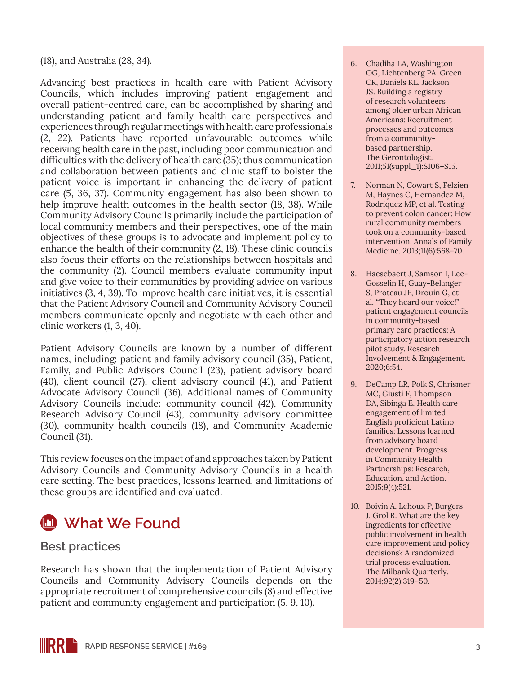(18), and Australia (28, 34).

Advancing best practices in health care with Patient Advisory Councils, which includes improving patient engagement and overall patient-centred care, can be accomplished by sharing and understanding patient and family health care perspectives and experiences through regular meetings with health care professionals (2, 22). Patients have reported unfavourable outcomes while receiving health care in the past, including poor communication and difficulties with the delivery of health care (35); thus communication and collaboration between patients and clinic staff to bolster the patient voice is important in enhancing the delivery of patient care (5, 36, 37). Community engagement has also been shown to help improve health outcomes in the health sector (18, 38). While Community Advisory Councils primarily include the participation of local community members and their perspectives, one of the main objectives of these groups is to advocate and implement policy to enhance the health of their community (2, 18). These clinic councils also focus their efforts on the relationships between hospitals and the community (2). Council members evaluate community input and give voice to their communities by providing advice on various initiatives (3, 4, 39). To improve health care initiatives, it is essential that the Patient Advisory Council and Community Advisory Council members communicate openly and negotiate with each other and clinic workers (1, 3, 40).

Patient Advisory Councils are known by a number of different names, including: patient and family advisory council (35), Patient, Family, and Public Advisors Council (23), patient advisory board (40), client council (27), client advisory council (41), and Patient Advocate Advisory Council (36). Additional names of Community Advisory Councils include: community council (42), Community Research Advisory Council (43), community advisory committee (30), community health councils (18), and Community Academic Council (31).

This review focuses on the impact of and approaches taken by Patient Advisory Councils and Community Advisory Councils in a health care setting. The best practices, lessons learned, and limitations of these groups are identified and evaluated.



### **Best practices**

Research has shown that the implementation of Patient Advisory Councils and Community Advisory Councils depends on the appropriate recruitment of comprehensive councils (8) and effective patient and community engagement and participation (5, 9, 10).

- 6. Chadiha LA, Washington OG, Lichtenberg PA, Green CR, Daniels KL, Jackson JS. Building a registry of research volunteers among older urban African Americans: Recruitment processes and outcomes from a communitybased partnership. The Gerontologist. 2011;51(suppl\_1):S106–S15.
- 7. Norman N, Cowart S, Felzien M, Haynes C, Hernandez M, Rodriquez MP, et al. Testing to prevent colon cancer: How rural community members took on a community-based intervention. Annals of Family Medicine. 2013;11(6):568–70.
- 8. Haesebaert J, Samson I, Lee-Gosselin H, Guay-Belanger S, Proteau JF, Drouin G, et al. "They heard our voice!" patient engagement councils in community-based primary care practices: A participatory action research pilot study. Research Involvement & Engagement. 2020;6:54.
- 9. DeCamp LR, Polk S, Chrismer MC, Giusti F, Thompson DA, Sibinga E. Health care engagement of limited English proficient Latino families: Lessons learned from advisory board development. Progress in Community Health Partnerships: Research, Education, and Action. 2015;9(4):521.
- 10. Boivin A, Lehoux P, Burgers J, Grol R. What are the key ingredients for effective public involvement in health care improvement and policy decisions? A randomized trial process evaluation. The Milbank Quarterly. 2014;92(2):319–50.

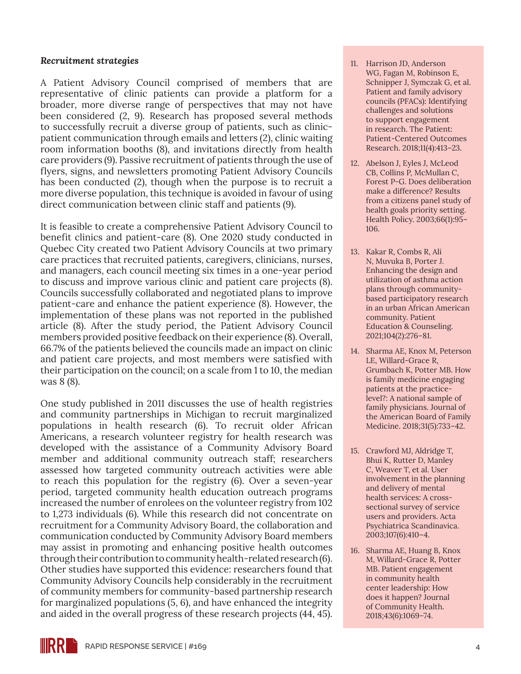#### *Recruitment strategies*

A Patient Advisory Council comprised of members that are representative of clinic patients can provide a platform for a broader, more diverse range of perspectives that may not have been considered (2, 9). Research has proposed several methods to successfully recruit a diverse group of patients, such as clinicpatient communication through emails and letters (2), clinic waiting room information booths (8), and invitations directly from health care providers (9). Passive recruitment of patients through the use of flyers, signs, and newsletters promoting Patient Advisory Councils has been conducted (2), though when the purpose is to recruit a more diverse population, this technique is avoided in favour of using direct communication between clinic staff and patients (9).

It is feasible to create a comprehensive Patient Advisory Council to benefit clinics and patient-care (8). One 2020 study conducted in Quebec City created two Patient Advisory Councils at two primary care practices that recruited patients, caregivers, clinicians, nurses, and managers, each council meeting six times in a one-year period to discuss and improve various clinic and patient care projects (8). Councils successfully collaborated and negotiated plans to improve patient-care and enhance the patient experience (8). However, the implementation of these plans was not reported in the published article (8). After the study period, the Patient Advisory Council members provided positive feedback on their experience (8). Overall, 66.7% of the patients believed the councils made an impact on clinic and patient care projects, and most members were satisfied with their participation on the council; on a scale from 1 to 10, the median was 8 (8).

One study published in 2011 discusses the use of health registries and community partnerships in Michigan to recruit marginalized populations in health research (6). To recruit older African Americans, a research volunteer registry for health research was developed with the assistance of a Community Advisory Board member and additional community outreach staff; researchers assessed how targeted community outreach activities were able to reach this population for the registry (6). Over a seven-year period, targeted community health education outreach programs increased the number of enrolees on the volunteer registry from 102 to 1,273 individuals (6). While this research did not concentrate on recruitment for a Community Advisory Board, the collaboration and communication conducted by Community Advisory Board members may assist in promoting and enhancing positive health outcomes through their contribution to community health-related research (6). Other studies have supported this evidence: researchers found that Community Advisory Councils help considerably in the recruitment of community members for community-based partnership research for marginalized populations (5, 6), and have enhanced the integrity and aided in the overall progress of these research projects (44, 45).

- 11. Harrison JD, Anderson WG, Fagan M, Robinson E, Schnipper J, Symczak G, et al. Patient and family advisory councils (PFACs): Identifying challenges and solutions to support engagement in research. The Patient: Patient-Centered Outcomes Research. 2018;11(4):413–23.
- 12. Abelson J, Eyles J, McLeod CB, Collins P, McMullan C, Forest P-G. Does deliberation make a difference? Results from a citizens panel study of health goals priority setting. Health Policy. 2003;66(1):95– 106.
- 13. Kakar R, Combs R, Ali N, Muvuka B, Porter J. Enhancing the design and utilization of asthma action plans through communitybased participatory research in an urban African American community. Patient Education & Counseling. 2021;104(2):276–81.
- 14. Sharma AE, Knox M, Peterson LE, Willard-Grace R, Grumbach K, Potter MB. How is family medicine engaging patients at the practicelevel?: A national sample of family physicians. Journal of the American Board of Family Medicine. 2018;31(5):733–42.
- 15. Crawford MJ, Aldridge T, Bhui K, Rutter D, Manley C, Weaver T, et al. User involvement in the planning and delivery of mental health services: A crosssectional survey of service users and providers. Acta Psychiatrica Scandinavica. 2003;107(6):410–4.
- 16. Sharma AE, Huang B, Knox M, Willard-Grace R, Potter MB. Patient engagement in community health center leadership: How does it happen? Journal of Community Health. 2018;43(6):1069–74.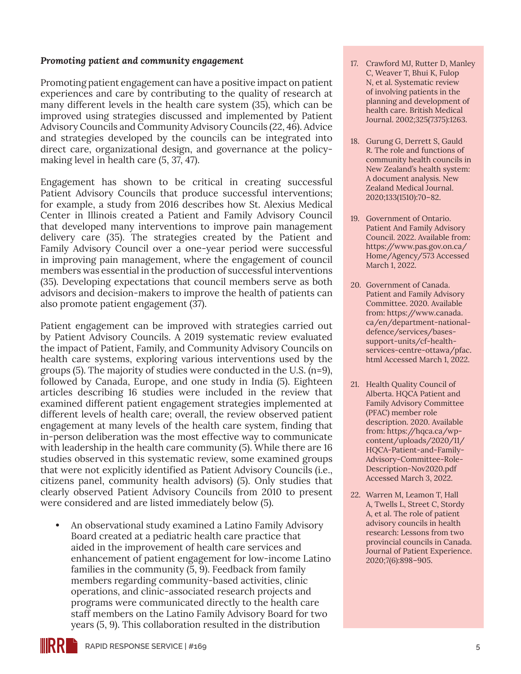#### *Promoting patient and community engagement*

Promoting patient engagement can have a positive impact on patient experiences and care by contributing to the quality of research at many different levels in the health care system (35), which can be improved using strategies discussed and implemented by Patient Advisory Councils and Community Advisory Councils (22, 46). Advice and strategies developed by the councils can be integrated into direct care, organizational design, and governance at the policymaking level in health care (5, 37, 47).

Engagement has shown to be critical in creating successful Patient Advisory Councils that produce successful interventions; for example, a study from 2016 describes how St. Alexius Medical Center in Illinois created a Patient and Family Advisory Council that developed many interventions to improve pain management delivery care (35). The strategies created by the Patient and Family Advisory Council over a one-year period were successful in improving pain management, where the engagement of council members was essential in the production of successful interventions (35). Developing expectations that council members serve as both advisors and decision-makers to improve the health of patients can also promote patient engagement (37).

Patient engagement can be improved with strategies carried out by Patient Advisory Councils. A 2019 systematic review evaluated the impact of Patient, Family, and Community Advisory Councils on health care systems, exploring various interventions used by the groups (5). The majority of studies were conducted in the U.S. (n=9), followed by Canada, Europe, and one study in India (5). Eighteen articles describing 16 studies were included in the review that examined different patient engagement strategies implemented at different levels of health care; overall, the review observed patient engagement at many levels of the health care system, finding that in-person deliberation was the most effective way to communicate with leadership in the health care community (5). While there are 16 studies observed in this systematic review, some examined groups that were not explicitly identified as Patient Advisory Councils (i.e., citizens panel, community health advisors) (5). Only studies that clearly observed Patient Advisory Councils from 2010 to present were considered and are listed immediately below (5).

**•** An observational study examined a Latino Family Advisory Board created at a pediatric health care practice that aided in the improvement of health care services and enhancement of patient engagement for low-income Latino families in the community (5, 9). Feedback from family members regarding community-based activities, clinic operations, and clinic-associated research projects and programs were communicated directly to the health care staff members on the Latino Family Advisory Board for two years (5, 9). This collaboration resulted in the distribution

- 17. Crawford MJ, Rutter D, Manley C, Weaver T, Bhui K, Fulop N, et al. Systematic review of involving patients in the planning and development of health care. British Medical Journal. 2002;325(7375):1263.
- 18. Gurung G, Derrett S, Gauld R. The role and functions of community health councils in New Zealand's health system: A document analysis. New Zealand Medical Journal. 2020;133(1510):70–82.
- 19. Government of Ontario. Patient And Family Advisory Council. 2022. Available from: [https://www.pas.gov.on.ca/](https://www.pas.gov.on.ca/Home/Agency/573) [Home/Agency/573](https://www.pas.gov.on.ca/Home/Agency/573) Accessed March 1, 2022.
- 20. Government of Canada. Patient and Family Advisory Committee. 2020. Available from: [https://www.canada.](https://www.canada.ca/en/department-national-defence/services/bases-support-units/cf-health-services-centre-ottawa/pfac.html) [ca/en/department-national](https://www.canada.ca/en/department-national-defence/services/bases-support-units/cf-health-services-centre-ottawa/pfac.html)[defence/services/bases](https://www.canada.ca/en/department-national-defence/services/bases-support-units/cf-health-services-centre-ottawa/pfac.html)[support-units/cf-health](https://www.canada.ca/en/department-national-defence/services/bases-support-units/cf-health-services-centre-ottawa/pfac.html)[services-centre-ottawa/pfac.](https://www.canada.ca/en/department-national-defence/services/bases-support-units/cf-health-services-centre-ottawa/pfac.html) [html](https://www.canada.ca/en/department-national-defence/services/bases-support-units/cf-health-services-centre-ottawa/pfac.html) Accessed March 1, 2022.
- 21. Health Quality Council of Alberta. HQCA Patient and Family Advisory Committee (PFAC) member role description. 2020. Available from: [https://hqca.ca/wp](https://hqca.ca/wp-content/uploads/2020/11/HQCA-Patient-and-Family-Advisory-Committee-Role-Description-Nov2020.pdf)[content/uploads/2020/11/](https://hqca.ca/wp-content/uploads/2020/11/HQCA-Patient-and-Family-Advisory-Committee-Role-Description-Nov2020.pdf) [HQCA-Patient-and-Family-](https://hqca.ca/wp-content/uploads/2020/11/HQCA-Patient-and-Family-Advisory-Committee-Role-Description-Nov2020.pdf)[Advisory-Committee-Role-](https://hqca.ca/wp-content/uploads/2020/11/HQCA-Patient-and-Family-Advisory-Committee-Role-Description-Nov2020.pdf)[Description-Nov2020.pdf](https://hqca.ca/wp-content/uploads/2020/11/HQCA-Patient-and-Family-Advisory-Committee-Role-Description-Nov2020.pdf) Accessed March 3, 2022.
- 22. Warren M, Leamon T, Hall A, Twells L, Street C, Stordy A, et al. The role of patient advisory councils in health research: Lessons from two provincial councils in Canada. Journal of Patient Experience. 2020;7(6):898–905.

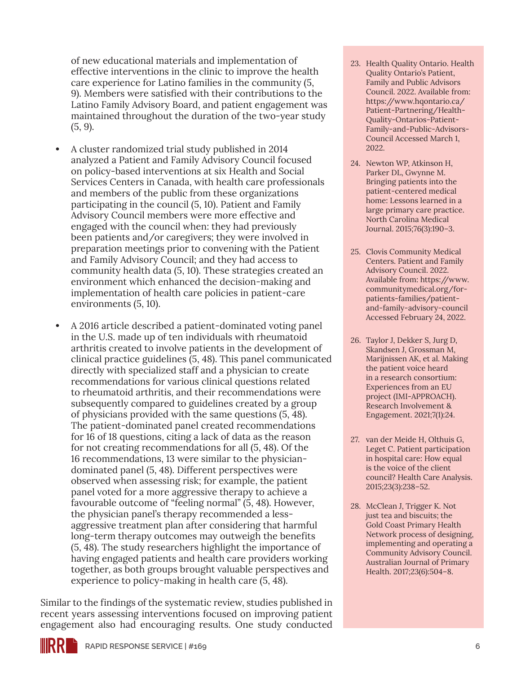of new educational materials and implementation of effective interventions in the clinic to improve the health care experience for Latino families in the community (5, 9). Members were satisfied with their contributions to the Latino Family Advisory Board, and patient engagement was maintained throughout the duration of the two-year study (5, 9).

- **•** A cluster randomized trial study published in 2014 analyzed a Patient and Family Advisory Council focused on policy-based interventions at six Health and Social Services Centers in Canada, with health care professionals and members of the public from these organizations participating in the council (5, 10). Patient and Family Advisory Council members were more effective and engaged with the council when: they had previously been patients and/or caregivers; they were involved in preparation meetings prior to convening with the Patient and Family Advisory Council; and they had access to community health data (5, 10). These strategies created an environment which enhanced the decision-making and implementation of health care policies in patient-care environments (5, 10).
- **•** A 2016 article described a patient-dominated voting panel in the U.S. made up of ten individuals with rheumatoid arthritis created to involve patients in the development of clinical practice guidelines (5, 48). This panel communicated directly with specialized staff and a physician to create recommendations for various clinical questions related to rheumatoid arthritis, and their recommendations were subsequently compared to guidelines created by a group of physicians provided with the same questions (5, 48). The patient-dominated panel created recommendations for 16 of 18 questions, citing a lack of data as the reason for not creating recommendations for all (5, 48). Of the 16 recommendations, 13 were similar to the physiciandominated panel (5, 48). Different perspectives were observed when assessing risk; for example, the patient panel voted for a more aggressive therapy to achieve a favourable outcome of "feeling normal" (5, 48). However, the physician panel's therapy recommended a lessaggressive treatment plan after considering that harmful long-term therapy outcomes may outweigh the benefits (5, 48). The study researchers highlight the importance of having engaged patients and health care providers working together, as both groups brought valuable perspectives and experience to policy-making in health care (5, 48).

Similar to the findings of the systematic review, studies published in recent years assessing interventions focused on improving patient engagement also had encouraging results. One study conducted

- 23. Health Quality Ontario. Health Quality Ontario's Patient, Family and Public Advisors Council. 2022. Available from: [https://www.hqontario.ca/](https://www.hqontario.ca/Patient-Partnering/Health-Quality-Ontarios-Patient-Family-and-Public-Advisors-Council) [Patient-Partnering/Health-](https://www.hqontario.ca/Patient-Partnering/Health-Quality-Ontarios-Patient-Family-and-Public-Advisors-Council)[Quality-Ontarios-Patient-](https://www.hqontario.ca/Patient-Partnering/Health-Quality-Ontarios-Patient-Family-and-Public-Advisors-Council)[Family-and-Public-Advisors-](https://www.hqontario.ca/Patient-Partnering/Health-Quality-Ontarios-Patient-Family-and-Public-Advisors-Council)[Council](https://www.hqontario.ca/Patient-Partnering/Health-Quality-Ontarios-Patient-Family-and-Public-Advisors-Council) Accessed March 1, 2022.
- 24. Newton WP, Atkinson H, Parker DL, Gwynne M. Bringing patients into the patient-centered medical home: Lessons learned in a large primary care practice. North Carolina Medical Journal. 2015;76(3):190–3.
- 25. Clovis Community Medical Centers. Patient and Family Advisory Council. 2022. Available from: [https://www.](https://www.communitymedical.org/for-patients-families/patient-and-family-advisory-council) [communitymedical.org/for](https://www.communitymedical.org/for-patients-families/patient-and-family-advisory-council)[patients-families/patient](https://www.communitymedical.org/for-patients-families/patient-and-family-advisory-council)[and-family-advisory-council](https://www.communitymedical.org/for-patients-families/patient-and-family-advisory-council) Accessed February 24, 2022.
- 26. Taylor J, Dekker S, Jurg D, Skandsen J, Grossman M, Marijnissen AK, et al. Making the patient voice heard in a research consortium: Experiences from an EU project (IMI-APPROACH). Research Involvement & Engagement. 2021;7(1):24.
- 27. van der Meide H, Olthuis G, Leget C. Patient participation in hospital care: How equal is the voice of the client council? Health Care Analysis. 2015;23(3):238–52.
- 28. McClean J, Trigger K. Not just tea and biscuits; the Gold Coast Primary Health Network process of designing, implementing and operating a Community Advisory Council. Australian Journal of Primary Health. 2017;23(6):504–8.

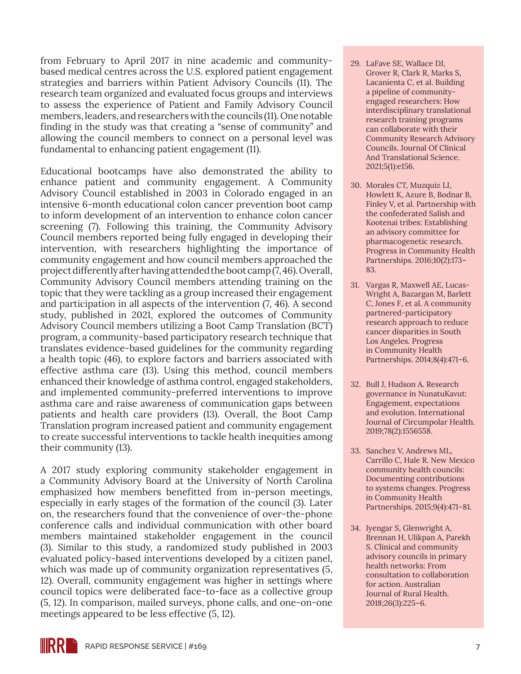from February to April 2017 in nine academic and communitybased medical centres across the U.S. explored patient engagement strategies and barriers within Patient Advisory Councils (11). The research team organized and evaluated focus groups and interviews to assess the experience of Patient and Family Advisory Council members, leaders, and researchers with the councils (11). One notable finding in the study was that creating a "sense of community" and allowing the council members to connect on a personal level was fundamental to enhancing patient engagement (11).

Educational bootcamps have also demonstrated the ability to enhance patient and community engagement. A Community Advisory Council established in 2003 in Colorado engaged in an intensive 6-month educational colon cancer prevention boot camp to inform development of an intervention to enhance colon cancer screening (7). Following this training, the Community Advisory Council members reported being fully engaged in developing their intervention, with researchers highlighting the importance of community engagement and how council members approached the project differently after having attended the boot camp (7, 46). Overall, Community Advisory Council members attending training on the topic that they were tackling as a group increased their engagement and participation in all aspects of the intervention (7, 46). A second study, published in 2021, explored the outcomes of Community Advisory Council members utilizing a Boot Camp Translation (BCT) program, a community-based participatory research technique that translates evidence-based guidelines for the community regarding a health topic (46), to explore factors and barriers associated with effective asthma care (13). Using this method, council members enhanced their knowledge of asthma control, engaged stakeholders, and implemented community-preferred interventions to improve asthma care and raise awareness of communication gaps between patients and health care providers (13). Overall, the Boot Camp Translation program increased patient and community engagement to create successful interventions to tackle health inequities among their community (13).

A 2017 study exploring community stakeholder engagement in a Community Advisory Board at the University of North Carolina emphasized how members benefitted from in-person meetings, especially in early stages of the formation of the council (3). Later on, the researchers found that the convenience of over-the-phone conference calls and individual communication with other board members maintained stakeholder engagement in the council (3). Similar to this study, a randomized study published in 2003 evaluated policy-based interventions developed by a citizen panel, which was made up of community organization representatives  $(5, 1)$ 12). Overall, community engagement was higher in settings where council topics were deliberated face-to-face as a collective group (5, 12). In comparison, mailed surveys, phone calls, and one-on-one meetings appeared to be less effective (5, 12).

- 29. LaFave SE, Wallace DJ, Grover R, Clark R, Marks S, Lacanienta C, et al. Building a pipeline of communityengaged researchers: How interdisciplinary translational research training programs can collaborate with their Community Research Advisory Councils. Journal Of Clinical And Translational Science. 2021;5(1):e156.
- 30. Morales CT, Muzquiz LI, Howlett K, Azure B, Bodnar B, Finley V, et al. Partnership with the confederated Salish and Kootenai tribes: Establishing an advisory committee for pharmacogenetic research. Progress in Community Health Partnerships. 2016;10(2):173– 83.
- 31. Vargas R, Maxwell AE, Lucas-Wright A, Bazargan M, Barlett C, Jones F, et al. A community partnered-participatory research approach to reduce cancer disparities in South Los Angeles. Progress in Community Health Partnerships. 2014;8(4):471–6.
- 32. Bull J, Hudson A. Research governance in NunatuKavut: Engagement, expectations and evolution. International Journal of Circumpolar Health. 2019;78(2):1556558.
- 33. Sanchez V, Andrews ML, Carrillo C, Hale R. New Mexico community health councils: Documenting contributions to systems changes. Progress in Community Health Partnerships. 2015;9(4):471–81.
- 34. Iyengar S, Glenwright A, Brennan H, Ulikpan A, Parekh S. Clinical and community advisory councils in primary health networks: From consultation to collaboration for action. Australian Journal of Rural Health. 2018;26(3):225–6.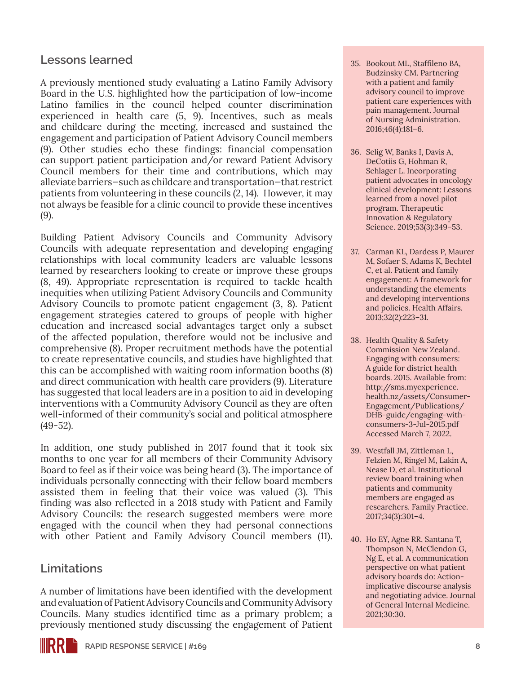### **Lessons learned**

A previously mentioned study evaluating a Latino Family Advisory Board in the U.S. highlighted how the participation of low-income Latino families in the council helped counter discrimination experienced in health care (5, 9). Incentives, such as meals and childcare during the meeting, increased and sustained the engagement and participation of Patient Advisory Council members (9). Other studies echo these findings: financial compensation can support patient participation and/or reward Patient Advisory Council members for their time and contributions, which may alleviate barriers—such as childcare and transportation—that restrict patients from volunteering in these councils (2, 14). However, it may not always be feasible for a clinic council to provide these incentives (9).

Building Patient Advisory Councils and Community Advisory Councils with adequate representation and developing engaging relationships with local community leaders are valuable lessons learned by researchers looking to create or improve these groups (8, 49). Appropriate representation is required to tackle health inequities when utilizing Patient Advisory Councils and Community Advisory Councils to promote patient engagement (3, 8). Patient engagement strategies catered to groups of people with higher education and increased social advantages target only a subset of the affected population, therefore would not be inclusive and comprehensive (8). Proper recruitment methods have the potential to create representative councils, and studies have highlighted that this can be accomplished with waiting room information booths (8) and direct communication with health care providers (9). Literature has suggested that local leaders are in a position to aid in developing interventions with a Community Advisory Council as they are often well-informed of their community's social and political atmosphere (49-52).

In addition, one study published in 2017 found that it took six months to one year for all members of their Community Advisory Board to feel as if their voice was being heard (3). The importance of individuals personally connecting with their fellow board members assisted them in feeling that their voice was valued (3). This finding was also reflected in a 2018 study with Patient and Family Advisory Councils: the research suggested members were more engaged with the council when they had personal connections with other Patient and Family Advisory Council members (11).

### **Limitations**

A number of limitations have been identified with the development and evaluation of Patient Advisory Councils and Community Advisory Councils. Many studies identified time as a primary problem; a previously mentioned study discussing the engagement of Patient

- 35. Bookout ML, Staffileno BA, Budzinsky CM. Partnering with a patient and family advisory council to improve patient care experiences with pain management. Journal of Nursing Administration. 2016;46(4):181–6.
- 36. Selig W, Banks I, Davis A, DeCotiis G, Hohman R, Schlager L. Incorporating patient advocates in oncology clinical development: Lessons learned from a novel pilot program. Therapeutic Innovation & Regulatory Science. 2019;53(3):349–53.
- 37. Carman KL, Dardess P, Maurer M, Sofaer S, Adams K, Bechtel C, et al. Patient and family engagement: A framework for understanding the elements and developing interventions and policies. Health Affairs. 2013;32(2):223–31.
- 38. Health Quality & Safety Commission New Zealand. Engaging with consumers: A guide for district health boards. 2015. Available from: [http://sms.myexperience.](http://sms.myexperience.health.nz/assets/Consumer-Engagement/Publications/DHB-guide/engaging-with-consumers-3-Jul-2015.pdf) [health.nz/assets/Consumer-](http://sms.myexperience.health.nz/assets/Consumer-Engagement/Publications/DHB-guide/engaging-with-consumers-3-Jul-2015.pdf)[Engagement/Publications/](http://sms.myexperience.health.nz/assets/Consumer-Engagement/Publications/DHB-guide/engaging-with-consumers-3-Jul-2015.pdf) [DHB-guide/engaging-with](http://sms.myexperience.health.nz/assets/Consumer-Engagement/Publications/DHB-guide/engaging-with-consumers-3-Jul-2015.pdf)[consumers-3-Jul-2015.pdf](http://sms.myexperience.health.nz/assets/Consumer-Engagement/Publications/DHB-guide/engaging-with-consumers-3-Jul-2015.pdf) Accessed March 7, 2022.
- 39. Westfall JM, Zittleman L, Felzien M, Ringel M, Lakin A, Nease D, et al. Institutional review board training when patients and community members are engaged as researchers. Family Practice. 2017;34(3):301–4.
- 40. Ho EY, Agne RR, Santana T, Thompson N, McClendon G, Ng E, et al. A communication perspective on what patient advisory boards do: Actionimplicative discourse analysis and negotiating advice. Journal of General Internal Medicine. 2021;30:30.

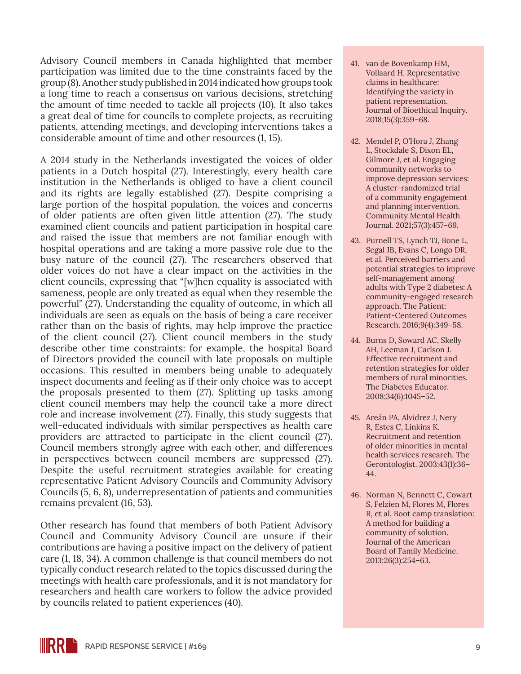Advisory Council members in Canada highlighted that member participation was limited due to the time constraints faced by the group (8). Another study published in 2014 indicated how groups took a long time to reach a consensus on various decisions, stretching the amount of time needed to tackle all projects (10). It also takes a great deal of time for councils to complete projects, as recruiting patients, attending meetings, and developing interventions takes a considerable amount of time and other resources (1, 15).

A 2014 study in the Netherlands investigated the voices of older patients in a Dutch hospital (27). Interestingly, every health care institution in the Netherlands is obliged to have a client council and its rights are legally established (27). Despite comprising a large portion of the hospital population, the voices and concerns of older patients are often given little attention (27). The study examined client councils and patient participation in hospital care and raised the issue that members are not familiar enough with hospital operations and are taking a more passive role due to the busy nature of the council (27). The researchers observed that older voices do not have a clear impact on the activities in the client councils, expressing that "[w]hen equality is associated with sameness, people are only treated as equal when they resemble the powerful" (27). Understanding the equality of outcome, in which all individuals are seen as equals on the basis of being a care receiver rather than on the basis of rights, may help improve the practice of the client council (27). Client council members in the study describe other time constraints: for example, the hospital Board of Directors provided the council with late proposals on multiple occasions. This resulted in members being unable to adequately inspect documents and feeling as if their only choice was to accept the proposals presented to them (27). Splitting up tasks among client council members may help the council take a more direct role and increase involvement (27). Finally, this study suggests that well-educated individuals with similar perspectives as health care providers are attracted to participate in the client council (27). Council members strongly agree with each other, and differences in perspectives between council members are suppressed (27). Despite the useful recruitment strategies available for creating representative Patient Advisory Councils and Community Advisory Councils (5, 6, 8), underrepresentation of patients and communities remains prevalent (16, 53).

Other research has found that members of both Patient Advisory Council and Community Advisory Council are unsure if their contributions are having a positive impact on the delivery of patient care (1, 18, 34). A common challenge is that council members do not typically conduct research related to the topics discussed during the meetings with health care professionals, and it is not mandatory for researchers and health care workers to follow the advice provided by councils related to patient experiences (40).

- 41. van de Bovenkamp HM, Vollaard H. Representative claims in healthcare: Identifying the variety in patient representation. Journal of Bioethical Inquiry. 2018;15(3):359–68.
- 42. Mendel P, O'Hora J, Zhang L, Stockdale S, Dixon EL, Gilmore J, et al. Engaging community networks to improve depression services: A cluster-randomized trial of a community engagement and planning intervention. Community Mental Health Journal. 2021;57(3):457–69.
- 43. Purnell TS, Lynch TJ, Bone L, Segal JB, Evans C, Longo DR, et al. Perceived barriers and potential strategies to improve self-management among adults with Type 2 diabetes: A community-engaged research approach. The Patient: Patient-Centered Outcomes Research. 2016;9(4):349–58.
- 44. Burns D, Soward AC, Skelly AH, Leeman J, Carlson J. Effective recruitment and retention strategies for older members of rural minorities. The Diabetes Educator. 2008;34(6):1045–52.
- 45. Areán PA, Alvidrez J, Nery R, Estes C, Linkins K. Recruitment and retention of older minorities in mental health services research. The Gerontologist. 2003;43(1):36– 44.
- 46. Norman N, Bennett C, Cowart S, Felzien M, Flores M, Flores R, et al. Boot camp translation: A method for building a community of solution. Journal of the American Board of Family Medicine. 2013;26(3):254–63.